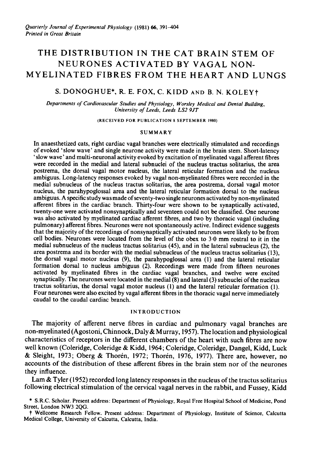# THE DISTRIBUTION IN THE CAT BRAIN STEM OF NEURONES ACTIVATED BY VAGAL NON-MYELINATED FIBRES FROM THE HEART AND LUNGS

# S. DONOGHUE\*, R. E. FOX, C. KIDD AND B. N. KOLEYt

Departments of Cardiovascular Studies and Physiology, Worsley Medical and Dental Building, University of Leeds, Leeds LS2 9JT

(RECEIVED FOR PUBLICATION <sup>8</sup> SEPTEMBER 1980)

#### SUMMARY

In anaesthetized cats, right cardiac vagal branches were electrically stimulated and recordings of evoked 'slow wave' and single neurone activity were made in the brain stem. Short-latency ' slow wave' and multi-neuronal activity evoked by excitation of myelinated vagal afferent fibres were recorded in the medial and lateral subnuclei of the nucleus tractus solitarius, the area postrema, the dorsal vagal motor nucleus, the lateral reticular formation and the nucleus ambiguus. Long-latency responses evoked by vagal non-myelinated fibres were recorded in the medial subnucleus of the nucleus tractus solitarius, the area postrema, dorsal vagal motor nucleus, the parahypoglossal area and the lateral reticular formation dorsal to the nucleus ambiguus. A specific study was made ofseventy-two single neurones activated by non-myelinated afferent fibres in the cardiac branch. Thirty-four were shown to be synaptically activated, twenty-one were activated nonsynaptically and seventeen could not be classified. One neurone was also activated by myelinated cardiac afferent fibres, and two by thoracic vagal (including pulmonary) afferent fibres. Neurones were not spontaneously active. Indirect evidence suggests that the majority of the recordings of nonsynaptically activated neurones were likely to be from cell bodies. Neurones were located from the level of the obex to 3\*0 mm rostral to it in the medial subnucleus of the nucleus tractus solitarius (45), and in the lateral subnucleus (2), the area postrema and its border with the medial subnucleus of the nucleus tractus solitarius (13), the dorsal vagal motor nucleus (9), the parahypoglossal area (1) and the lateral reticular formation dorsal to nucleus ambiguus (2). Recordings were made from fifteen neurones activated by myelinated fibres in the cardiac vagal branches, and twelve were excited synaptically. The neurones were located in the medial (8) and lateral (3) subnuclei of the nucleus tractus solitarius, the dorsal vagal motor nucleus (1) and the lateral reticular formation (1). Four neurones were also excited by vagal afferent fibres in the thoracic vagal nerve immediately caudal to the caudal cardiac branch.

#### INTRODUCTION

The majority of afferent nerve fibres in cardiac and pulmonary vagal branches are non-myelinated (Agostoni, Chinnock, Daly & Murray, 1957). The location and physiological characteristics of receptors in the different chambers of the heart with such fibres are now well known (Coleridge, Coleridge & Kidd, 1964; Coleridge, Coleridge, Dangel, Kidd, Luck & Sleight, 1973; Oberg & Thoren, 1972; Thoren, 1976, 1977). There are, however, no accounts of the distribution of these afferent fibres in the brain stem nor of the neurones they influence.

Lam  $\&$  Tyler (1952) recorded long latency responses in the nucleus of the tractus solitarius following electrical stimulation of the cervical vagal nerves in the rabbit, and Fussey, Kidd

t Wellcome Research Fellow. Present address: Department of Physiology, Institute of Science, Calcutta Medical College, University of Calcutta, Calcutta, India.

<sup>\*</sup> S.R.C. Scholar. Present address: Department of Physiology, Royal Free Hospital School of Medicine, Pond Street, London NW3 2QG.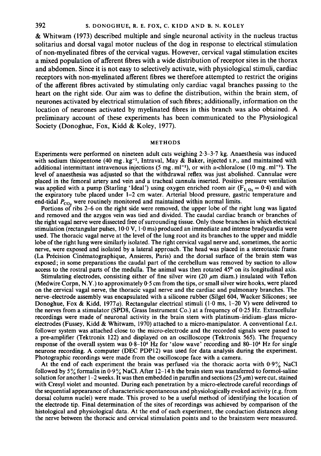& Whitwam (1973) described multiple and single neuronal activity in the nucleus tractus solitarius and dorsal vagal motor nucleus of the dog in response to electrical stimulation of non-myelinated fibres of the cervical vagus. However, cervical vagal stimulation excites a mixed population of afferent fibres with a wide distribution of receptor sites in the thorax and abdomen. Since it is not easy to selectively activate, with physiological stimuli, cardiac receptors with non-myelinated afferent fibres we therefore attempted to restrict the origins of the afferent fibres activated by stimulating only cardiac vagal branches passing to the heart on the right side. Our aim was to define the distribution, within the brain stem, of neurones activated by electrical stimulation of such fibres; additionally, information on the location of neurones activated by myelinated fibres in this branch was also obtained. A preliminary account of these experiments has been communicated to the Physiological Society (Donoghue, Fox, Kidd & Koley, 1977).

#### METHODS

Experiments were performed on nineteen adult cats weighing 2.3-3.7 kg. Anaesthesia was induced with sodium thiopentone (40 mg. kg<sup>-1</sup>, Intraval, May & Baker, injected I.P., and maintained with additional intermittant intravenous injections (5 mg. ml<sup>-1</sup>), or with  $\alpha$ -chloralose (10 mg. ml<sup>-1</sup>). The level of anaesthesia was adjusted so that the withdrawal reflex was just abolished. Cannulae were placed in the femoral artery and vein and a tracheal cannula inserted. Positive pressure ventilation was applied with a pump (Starling 'Ideal') using oxygen enriched room air ( $\overline{F}_{1,0_2} = 0.4$ ) and with the expiratory tube placed under 1-2 cm water. Arterial blood pressure, gastric temperature and end-tidal  $P_{CO_2}$  were routinely monitored and maintained within normal limits.

Portions of ribs 2-6 on the right side were removed, the upper lobe of the right lung was ligated and removed and the azygos vein was tied and divided. The caudal cardiac branch or branches of the right vagal nerve were dissected free of surrounding tissue. Only those branches in which electrical stimulation (rectangular pulses,  $10.0 \text{ V}$ ,  $1.0 \text{ ms}$ ) produced an immediate and intense bradycardia were used. The thoracic vagal nerve at the level of the lung root and its branches to the upper and middle lobe of the right lung were similarly isolated. The right cervical vagal nerve and, sometimes, the aortic nerve, were exposed and isolated by a lateral approach. The head was placed in a stereotaxic frame (La Precision Cinematographique, Ansieres, Paris) and the dorsal surface of the brain stem was exposed; in some preparations the caudal part of the cerebellum was removed by suction to allow access to the rostral parts of the medulla. The animal was then rotated 45<sup>o</sup> on its longitudinal axis.

Stimulating electrodes, consisting either of fine silver wire (20  $\mu$ m diam.) insulated with Teflon (Medwire Corpn, N.Y.) to approximately  $0.5$  cm from the tips, or small silver wire hooks, were placed on the cervical vagal nerve, the thoracic vagal nerve and the cardiac and pulmonary branches. The nerve-electrode assembly was encapsulated with a silicone rubber (Silgel 604, Wacker Silicones; see Donoghue, Fox & Kidd, 1977*a*). Rectangular electrical stimuli (1.0 ms, 1-20 V) were delivered to the nerves from a stimulator (SPD8, Grass Instrument Co.) at a frequency of 0-25 Hz. Extracellular recordings were made of neuronal activity in the brain stem with platinum-iridium-glass microelectrodes (Fussey, Kidd & Whitwam, 1970) attached to <sup>a</sup> micro-manipulator. A conventional f.e.t. follower system was attached close to the micro-electrode and the recorded signals were passed to a pre-amplifier (Tektronix 122) and displayed on an oscilloscope (Tektronix 565). The frequency response of the overall system was  $0.8-10<sup>4</sup>$  Hz for 'slow wave' recording and  $80-10<sup>4</sup>$  Hz for single neurone recording. A computer (DEC PDP12) was used for data analysis during the experiment. Photographic recordings were made from the oscilloscope face with a camera.

At the end of each experiment the brain was perfused via the thoracic aorta with  $0.9\%$  NaCl followed by  $5\%$  formalin in 0.9% NaCl. After 12-14 h the brain stem was transferred to formol-saline solution for another 1-2 weeks. It was then embedded in paraffin and sections  $(25 \mu m)$  were cut, stained with Cresyl violet and mounted. During each penetration by a micro-electrode careful recordings of the sequential appearance of characteristic spontaneous and physiologically evoked activity (e.g. from dorsal column nuclei) were made. This proved to be a useful method of identifying the location of the electrode tip. Final determination of the sites of recordings was achieved by comparison of the histological and physiological data. At the end of each experiment, the conduction distances along the nerve between the thoracic and cervical stimulation points and to the brainstem were measured.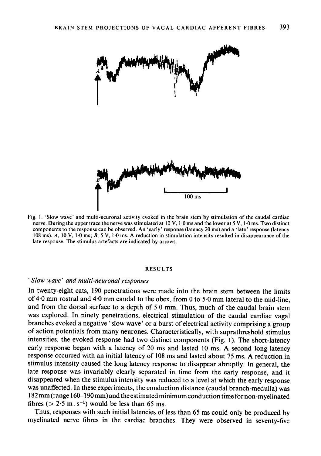

Fig. 1. 'Slow wave' and multi-neuronal activity evoked in the brain stem by stimulation of the caudal cardiac nerve. During the upper trace the nerve was stimulated at <sup>10</sup> V, <sup>1</sup> 0 ms and the lower at <sup>5</sup> V, <sup>1</sup> 0 ms. Two distinct components to the response can be observed. An 'early' response (latency <sup>20</sup> ms) and <sup>a</sup> 'late' response (latency <sup>108</sup> ms). A, <sup>10</sup> V, <sup>1</sup> <sup>0</sup> ms; B, <sup>5</sup> V, <sup>1</sup> <sup>0</sup> ms. A reduction in stimulation intensity resulted in disappearance of the late response. The stimulus artefacts are indicated by arrows.

#### RESULTS

#### 'Slow wave' and multi-neuronal responses

In twenty-eight cats, 190 penetrations were made into the brain stem between the limits of 4.0 mm rostral and 4.0 mm caudal to the obex, from 0 to 5.0 mm lateral to the mid-line, and from the dorsal surface to a depth of <sup>5</sup> 0 mm. Thus, much of the caudal brain stem was explored. In ninety penetrations, electrical stimulation of the caudal cardiac vagal branches evoked a negative 'slow wave' or a burst of electrical activity comprising a group of action potentials from many neurones. Characteristically, with suprathreshold stimulus intensities, the evoked response had two distinct components (Fig. 1). The short-latency early response began with <sup>a</sup> latency of <sup>20</sup> ms and lasted <sup>10</sup> ms. A second long-latency response occurred with an initial latency of <sup>108</sup> ms and lasted about <sup>75</sup> ms. A reduction in stimulus intensity caused the long latency response to disappear abruptly. In general, the late response was invariably clearly separated in time from the early response, and it disappeared when the stimulus intensity was reduced to a level at which the early response was unaffected. In these experiments, the conduction distance (caudal branch-medulla) was <sup>182</sup> mm (range 160-190 mm)and the estimated minimum conduction time for non-myelinated fibres ( $> 2.5$  m  $\cdot$  s<sup>-1</sup>) would be less than 65 ms.

Thus, responses with such initial latencies of less than 65 ms could only be produced by myelinated nerve fibres in the cardiac branches. They were observed in seventy-five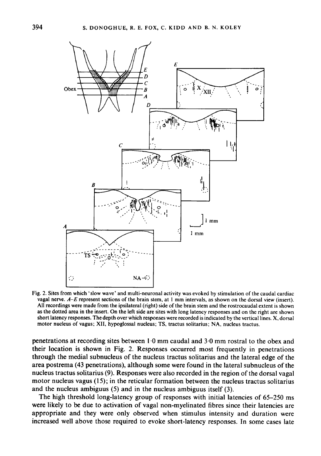

Fig. 2. Sites from which 'slow wave' and multi-neuronal activity was evoked by stimulation of the caudal cardiac vagal nerve. A-E represent sections of the brain stem, at <sup>1</sup> mm intervals, as shown on the dorsal view (insert). All recordings were made from the ipsilateral (right) side of the brain stem and the rostrocaudal extent is shown as the dotted area in the insert. On the left side are sites with long latency responses and on the right are shown short latency responses. The depth over which responses were recorded is indicated by the vertical lines. X, dorsal motor nucleus of vagus; XII, hypoglossal nucleus; TS, tractus solitarius; NA, nucleus tractus.

penetrations at recording sites between <sup>1</sup> <sup>0</sup> mm caudal and <sup>3</sup> <sup>0</sup> mm rostral to the obex and their location is shown in Fig. 2. Responses occurred most frequently in penetrations through the medial subnucleus of the nucleus tractus solitarius and the lateral edge of the area postrema (43 penetrations), although some were found in the lateral subnucleus of the nucleus tractus solitarius (9). Responses were also recorded in the region of the dorsal vagal motor nucleus vagus (15); in the reticular formation between the nucleus tractus solitarius and the nucleus ambiguus (5) and in the nucleus ambiguus itself (3).

The high threshold long-latency group of responses with initial latencies of 65-250 ms were likely to be due to activation of vagal non-myelinated fibres since their latencies are appropriate and they were only observed when stimulus intensity and duration were increased well above those required to evoke short-latency responses. In some cases late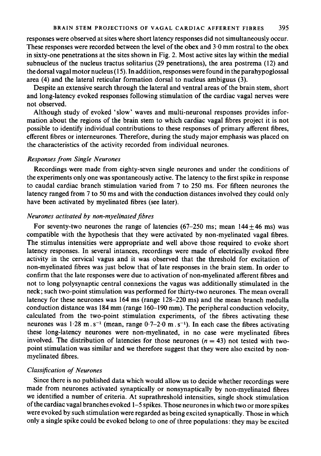responses were observed at sites where short latency responses did not simultaneously occur. These responses were recorded between the level of the obex and 3-0 mm rostral to the obex in sixty-one penetrations at the sites shown in Fig. 2. Most active sites lay within the medial subnucleus of the nucleus tractus solitarius (29 penetrations), the area postrema (12) and the dorsal vagal motor nucleus (15). In addition, responses were found in the parahypoglossal area (4) and the lateral reticular formation dorsal to nucleus ambiguus (3).

Despite an extensive search through the lateral and ventral areas of the brain stem, short and long-latency evoked responses following stimulation of the cardiac vagal nerves were not observed.

Although study of evoked 'slow' waves and multi-neuronal responses provides information about the regions of the brain stem to which cardiac vagal fibres project it is not possible to identify individual contributions to these responses of primary afferent fibres, efferent fibres or interneurones. Therefore, during the study major emphasis was placed on the characteristics of the activity recorded from individual neurones.

## Responses from Single Neurones

Recordings were made from eighty-seven single neurones and under the conditions of the experiments only one was spontaneously active. The latency to the first spike in response to caudal cardiac branch stimulation varied from 7 to 250 ms. For fifteen neurones the latency ranged from <sup>7</sup> to 50 ms and with the conduction distances involved they could only have been activated by myelinated fibres (see later).

## Neurones activated by non-myelinated.fibres

For seventy-two neurones the range of latencies (67-250 ms; mean  $144 \pm 46$  ms) was compatible with the hypothesis that they were activated by non-myelinated vagal fibres. The stimulus intensities were appropriate and well above those required to evoke short latency responses. In several intances, recordings were made of electrically evoked fibre activity in the cervical vagus and it was observed that the threshold for excitation of non-myelinated fibres was just below that of late responses in the brain stem. In order to confirm that the late responses were due to activation of non-myelinated afferent fibres and not to long polysynaptic central connexions the vagus was additionally stimulated in the neck; such two-point stimulation was performed for thirty-two neurones. The mean overall latency for these neurones was 164 ms (range 128-220 ms) and the mean branch medulla conduction distance was <sup>184</sup> mm (range 160-190 mm). The peripheral conduction velocity, calculated from the two-point stimulation experiments, of the fibres activating these neurones was  $1.28 \text{ m.s}^{-1}$  (mean, range  $0.7-2.0 \text{ m.s}^{-1}$ ). In each case the fibres activating these long-latency neurones were non-myelinated, in no case were myelinated fibres involved. The distribution of latencies for those neurones  $(n = 43)$  not tested with twopoint stimulation was similar and we therefore suggest that they were also excited by nonmyelinated fibres.

# Classifcation of Neurones

Since there is no published data which would allow us to decide whether recordings were made from neurones activated synaptically or nonsynaptically by non-myelinated fibres we identified <sup>a</sup> number of criteria. At suprathreshold intensities, single shock stimulation of the cardiac vagal branches evoked 1-5 spikes. Those neurones in which two or more spikes were evoked by such stimulation were regarded as being excited synaptically. Those in which only a single spike could be evoked belong to one of three populations: they may be excited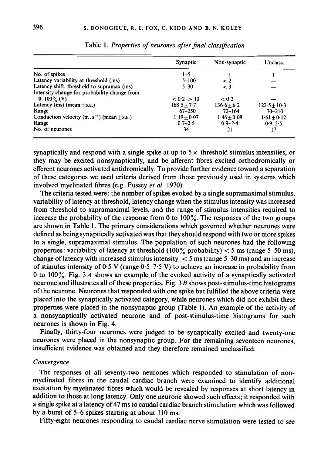|                                                            | Synaptic       | Non-synaptic  | Unclass.        |
|------------------------------------------------------------|----------------|---------------|-----------------|
| No. of spikes                                              | 1–5            |               |                 |
| Latency variability at threshold (ms)                      | $5 - 100$      | $\lt 2$       |                 |
| Latency shift, threshold to supramax (ms)                  | $5 - 30$       | $\leq$ 3      |                 |
| Intensity change for probability change from               |                |               |                 |
| $0-100\%$ (V)                                              | $< 0.2 - > 10$ | < 0.2         |                 |
| Latency (ms) (mean $\pm$ s.e.)                             | $168.5 + 7.7$  | $136.6 + 6.2$ | $122.5 + 10.3$  |
| Range                                                      | $67 - 250$     | $72 - 164$    | $70 - 210$      |
| Conduction velocity $(m \tcdot s^{-1})$ (mean $\pm$ s. E.) | $1.19 + 0.07$  | $1.46 + 0.08$ | $1.61 \pm 0.12$ |
| Range                                                      | $0.7 - 2.5$    | $0.9 - 2.4$   | $0.9 - 2.5$     |
| No. of neurones                                            | 34             | 21            | 17              |

Table 1. Properties of neurones after final classification

synaptically and respond with a single spike at up to  $5 \times$  threshold stimulus intensities, or they may be excited nonsynaptically, and be afferent fibres excited orthodromically or efferent neurones activated antidromically. To provide further evidence toward a separation of these categories we used criteria derived from those previously used in systems which involved myelinated fibres (e.g. Fussey et al. 1970).

The criteria tested were: the number of spikes evoked by a single supramaximal stimulus, variability of latency at threshold, latency change when the stimulus intensity was increased from threshold to supramaximal levels, and the range of stimulus intensities required to increase the probability of the response from 0 to  $100\%$ . The responses of the two groups are shown in Table 1. The primary considerations which governed whether neurones were defined as being synaptically activated was that they should respond with two or more spikes to a single, supramaximal stimulus. The population of such neurones had the following properties: variability of latency at threshold  $(100\% \text{ probability}) < 5 \text{ ms}$  (range 5–50 ms), change of latency with increased stimulus intensity  $\langle$  5 ms (range 5-30 ms) and an increase of stimulus intensity of  $0.5$  V (range  $0.5-7.5$  V) to achieve an increase in probability from 0 to 100%. Fig. 3 A shows an example of the evoked activity of a synaptically activated neurone and illustrates all of these properties. Fig.  $3B$  shows post-stimulus-time histograms of the neurone. Neurones that responded with one spike but fulfilled the above criteria were placed into the synaptically activated category, while neurones which did not exhibit these properties were placed in the nonsynaptic group (Table 1). An example of the activity of a nonsynaptically activated neurone and of post-stimulus-time histograms for such neurones is shown in Fig. 4.

Finally, thirty-four neurones were judged to be synaptically excited and twenty-one neurones were placed in the nonsynaptic group. For the remaining seventeen neurones, insufficient evidence was obtained and they therefore remained unclassified.

### Convergence

The responses of all seventy-two neurones which responded to stimulation of nonmyelinated fibres in the caudal cardiac branch were examined to identify additional excitation by myelinated fibres which would be revealed by responses at short latency in addition to those at long latency. Only one neurone showed such effects; it responded with a single spike at a latency of 47 ms to caudal cardiac branch stimulation which was followed by a burst of 5-6 spikes starting at about 110 ms.

Fifty-eight neurones responding to caudal cardiac nerve stimulation were tested to see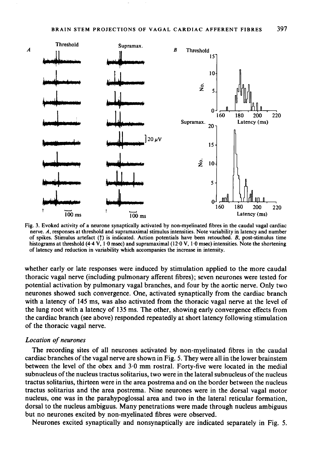

Fig. 3. Evoked activity of a neurone synaptically activated by non-myelinated fibres in the caudal vagal cardiac nerve. A, responses at threshold and supramaximal stimulus intensities. Note variability in latency and number of spikes. Stimulus artefact ( $\uparrow$ ) is indicated. Action potentials have been retouched. B, post-stimulus time histograms at threshold (4.4 V, 1.0 msec) and supramaximal (12.0 V, 1.0 msec) intensities. Note the shortening of latency and reduction in variability which accompanies the increase in intensity.

whether early or late responses were induced by stimulation applied to the more caudal thoracic vagal nerve (including pulmonary afferent fibres); seven neurones were tested for potential activation by pulmonary vagal branches, and four by the aortic nerve. Only two neurones showed such convergence. One, activated synaptically from the cardiac branch with a latency of 145 ms, was also activated from the thoracic vagal nerve at the level of the lung root with a latency of 135 ms. The other, showing early convergence effects from the cardiac branch (see above) responded repeatedly at short latency following stimulation of the thoracic vagal nerve.

### Location of neurones

The recording sites of all neurones activated by non-myelinated fibres in the caudal cardiac branches of the vagal nerve are shown in Fig. 5. They were all in the lower brainstem between the level of the obex and  $3.0 \text{ mm}$  rostral. Forty-five were located in the medial subnucleus of the nucleus tractus solitarius, two were in the lateral subnucleus of the nucleus tractus solitarius, thirteen were in the area postrema and on the border between the nucleus tractus solitarius and the area postrema. Nine neurones were in the dorsal vagal motor nucleus, one was in the parahypoglossal area and two in the lateral reticular formation, dorsal to the nucleus ambiguus. Many penetrations were made through nucleus ambiguus but no neurones excited by non-myelinated fibres were observed.

Neurones excited synaptically and nonsynaptically are indicated separately in Fig. 5.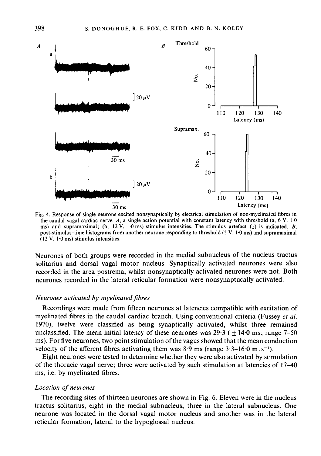

Fig. 4. Response of single neurone excited nonsynaptically by electrical stimulation of non-myelinated fibres in the caudal vagal cardiac nerve. A, a single action potential with constant latency with threshold (a,  $6 \text{ V}$ ,  $1 \cdot 0$ ms) and supramaximal; (b, 12 V, 10 ms) stimulus intensities. The stimulus artefact (1) is indicated. B, post-stimulus-time histograms from another neurone responding to threshold (5 V, 1 0 ms) and supramaximal (12 V, 1 0 ms) stimulus intensities.

Neurones of both groups were recorded in the medial subnucleus of the nucleus tractus solitarius and dorsal vagal motor nucleus. Synaptically activated neurones were also recorded in the area postrema, whilst nonsynaptically activated neurones were not. Both neurones recorded in the lateral reticular formation were nonsynaptucally activated.

### Neurones activated by myelinated fibres

Recordings were made from fifteen neurones at latencies compatible with excitation of myelinated fibres in the caudal cardiac branch. Using conventional criteria (Fussey et al. 1970), twelve were classified as being synaptically activated, whilst three remained unclassified. The mean initial latency of these neurones was  $29.3$  ( $\pm 14.0$  ms; range 7–50 ms). For five neurones, two point stimulation of the vagus showed that the mean conduction velocity of the afferent fibres activating them was  $8.9$  ms (range  $3.3-16.0$  m.s<sup>-1</sup>).

Eight neurones were tested to determine whether they were also activated by stimulation of the thoracic vagal nerve; three were activated by such stimulation at latencies of 17-40 ms, i.e. by myelinated fibres.

## Location of neurones

The recording sites of thirteen neurones are shown in Fig. 6. Eleven were in the nucleus tractus solitarius, eight in the medial subnucleus, three in the lateral subnucleus. One neurone was located in the dorsal vagal motor nucleus and another was in the lateral reticular formation, lateral to the hypoglossal nucleus.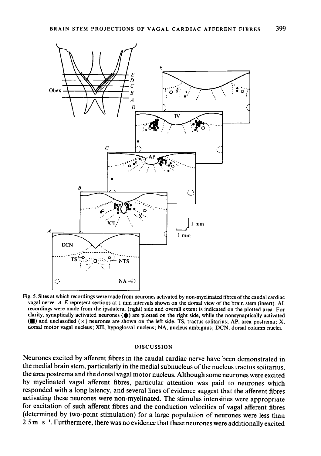

Fig. 5. Sites at which recordings were made from neurones activated by non-myelinated fibres of the caudal cardiac vagal nerve. A-E represent sections at <sup>1</sup> mm intervals shown on the dorsal view of the brain stem (insert). All recordings were made from the ipsilateral (right) side and overall extent is indicated on the plotted area. For clarity, synaptically activated neurones  $(\bullet)$  are plotted on the right side, while the nonsynaptically activated ( $\blacksquare$ ) and unclassified ( $\times$ ) neurones are shown on the left side. TS, tractus solitarius; AP, area postrema; X, dorsal motor vagal nucleus; XII, hypoglossal nucleus; NA, nucleus ambiguus; DCN, dorsal column nuclei.

### DISCUSSION

Neurones excited by afferent fibres in the caudal cardiac nerve have been demonstrated in the medial brain stem, particularly in the medial subnucleus of the nucleus tractus solitarius, the area postrema and the dorsal vagal motor nucleus. Although some neurones were excited by myelinated vagal afferent fibres, particular attention was paid to neurones which responded with a long latency, and several lines of evidence suggest that the afferent fibres activating these neurones were non-myelinated. The stimulus intensities were appropriate for excitation of such afferent fibres and the conduction velocities of vagal afferent fibres (determined by two-point stimulation) for a large population of neurones were less than  $2.5$  m. s<sup>-1</sup>. Furthermore, there was no evidence that these neurones were additionally excited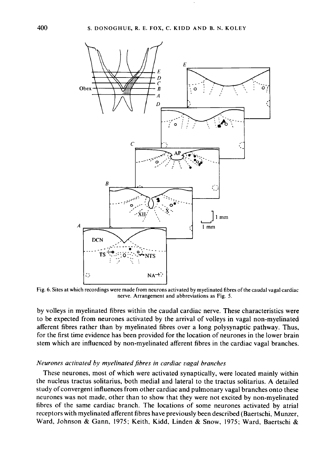

Fig. 6. Sites at which recordings were made from neurons activated by myelinated fibres of the caudal vagal cardiac nerve. Arrangement and abbreviations as Fig. 5.

by volleys in myelinated fibres within the caudal cardiac nerve. These characteristics were to be expected from neurones activated by the arrival of volleys in vagal non-myelinated afferent fibres rather than by myelinated fibres over a long polysynaptic pathway. Thus, for the first time evidence has been provided for the location of neurones in the lower brain stem which are influenced by non-myelinated afferent fibres in the cardiac vagal branches.

### Neurones activated by myelinated fibres in cardiac vagal branches

These neurones, most of which were activated synaptically, were located mainly within the nucleus tractus solitarius, both medial and lateral to the tractus solitarius. A detailed study of convergent influences from other cardiac and pulmonary vagal branches onto these neurones was not made, other than to show that they were not excited by non-myelinated fibres of the same cardiac branch. The locations of some neurones activated by atrial receptors with myelinated afferent fibres have previously been described (Baertschi, Munzer, Ward, Johnson & Gann, 1975; Keith, Kidd, Linden & Snow, 1975; Ward, Baertschi &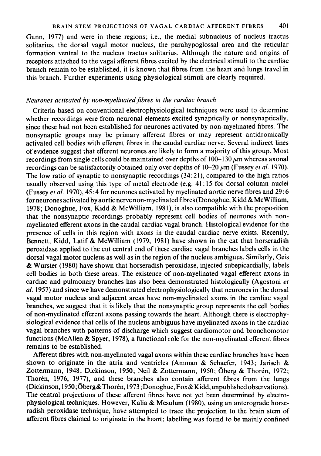Gann, 1977) and were in these regions; i.e., the medial subnucleus of nucleus tractus solitarius, the dorsal vagal motor nucleus, the parahypoglossal area and the reticular formation ventral to the nucleus tractus solitarius. Although the nature and origins of receptors attached to the vagal afferent fibres excited by the electrical stimuli to the cardiac branch remain to be established, it is known that fibres from the heart and lungs travel in this branch. Further experiments using physiological stimuli are clearly required.

### Neurones activated by non-myelinated fibres in the cardiac branch

Criteria based on conventional electrophysiological techniques were used to determine whether recordings were from neuronal elements excited synaptically or nonsynaptically, since these had not been established for neurones activated by non-myelinated fibres. The nonsynaptic groups may be primary afferent fibres or may represent antidromically activated cell bodies with efferent fibres in the caudal cardiac nerve. Several indirect lines of evidence suggest that efferent neurones are likely to form a majority of this group. Most recordings from single cells could be maintained over depths of  $100-130 \mu m$  whereas axonal recordings can be satisfactorily obtained only over depths of  $10-20 \mu m$  (Fussey *et al.* 1970). The low ratio of synaptic to nonsynaptic recordings (34:21), compared to the high ratios usually observed using this type of metal electrode (e.g. 41:15 for dorsal column nuclei (Fussey et al. 1970), 45:4 for neurones activated by myelinated aortic nerve fibres and 29:6 for neurones activated by aortic nerve non-myelinated fibres (Donoghue, Kidd & McWilliam, 1978; Donoghue, Fox, Kidd & McWilliam, 1981), is also compatible with the proposition that the nonsynaptic recordings probably represent cell bodies of neurones with nonmyelinated efferent axons in the caudal cardiac vagal branch. Histological evidence for the presence of cells in this region with axons in the caudal cardiac nerve exists. Recently, Bennett, Kidd, Latif & McWilliam (1979, 1981) have shown in the cat that horseradish peroxidase applied to the cut central end of these cardiac vagal branches labels cells in the dorsal vagal motor nucleus as well as in the region of the nucleus ambiguus. Similarly, Geis & Wurster (1980) have shown that horseradish peroxidase, injected subepicardially, labels cell bodies in both these areas. The existence of non-myelinated vagal efferent axons in cardiac and pulmonary branches has also been demonstrated histologically (Agestoni et al. 1957) and since we have demonstrated electrophysiologically that neurones in the dorsal vagal motor nucleus and adjacent areas have non-myelinated axons in the cardiac vagal branches, we suggest that it is likely that the nonsynaptic group represents the cell bodies of non-myelinated efferent axons passing towards the heart. Although there is electrophysiological evidence that cells of the nucleus ambiguus have myelinated axons in the cardiac vagal branches with patterns of discharge which suggest cardiomotor and bronchomotor functions (McAllen & Spyer, 1978), <sup>a</sup> functional role for the non-myelinated efferent fibres remains to be established.

Afferent fibres with non-myelinated vagal axons within these cardiac branches have been shown to originate in the atria and ventricles (Amman & Schaefer, 1943; Jarisch & Zottermann, 1948; Dickinson, 1950; Neil & Zottermann, 1950; Öberg & Thorén, 1972; Thorén, 1976, 1977), and these branches also contain afferent fibres from the lungs (Dickinson, 1950 ;Oberg&Thoren, 1973; Donoghue, Fox&Kidd, unpublished observations). The central projections of these afferent fibres have not yet been determined by electrophysiological techniques. However, Kalia & Mesulum (1980), using an anterograde horseradish peroxidase technique, have attempted to trace the projection to the brain stem of afferent fibres claimed to originate in the heart; labelling was found to be mainly confined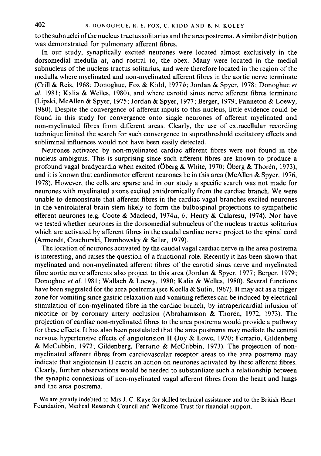to the subnuclei of the nucleus tractus solitarius and the area postrema. A similar distribution was demonstrated for pulmonary afferent fibres.

In our study, synaptically excited neurones were located almost exclusively in the dorsomedial medulla at, and rostral to, the obex. Many were located in the medial subnucleus of the nucleus tractus solitarius, and were therefore located in the region of the medulla where myelinated and non-myelinated afferent fibres in the aortic nerve terminate (Crill & Reis, 1968; Donoghue, Fox & Kidd, 1977b; Jordan & Spyer, 1978; Donoghue et al. 1981; Kalia & Welles, 1980), and where carotid sinus nerve afferent fibres terminate (Lipski, McAllen & Spyer, 1975; Jordan & Spyer, 1977; Berger, 1979; Panneton & Loewy, 1980). Despite the convergence of afferent inputs to this nucleus, little evidence could be found in this study for convergence onto single neurones of afferent myelinated and non-myelinated fibres from different areas. Clearly, the use of extracellular recording technique limited the search for such convergence to suprathreshold excitatory effects and subliminal influences would not have been easily detected.

Neurones activated by non-myelinated cardiac afferent fibres were not found in the nucleus ambiguus. This is surprising since such afferent fibres are known to produce <sup>a</sup> profound vagal bradycardia when excited (Öberg & White, 1970; Öberg & Thoren, 1973), and it is known that cardiomotor efferent neurones lie in this area (McAllen & Spyer, 1976, 1978). However, the cells are sparse and in our study <sup>a</sup> specific search was not made for neurones with myelinated axons excited antidromically from the cardiac branch. We were unable to demonstrate that afferent fibres in the cardiac vagal branches excited neurones in the ventrolateral brain stem likely to form the bulbospinal projections to sympathetic efferent neurones (e.g. Coote & Macleod, 1974a, b; Henry & Calaresu, 1974). Nor have we tested whether neurones in the dorsomedial subnucleus of the nucleus tractus solitarius which are activated by afferent fibres in the caudal cardiac nerve project to the spinal cord (Armendt, Czachurski, Dembowsky & Seller, 1979).

The location of neurones activated by the caudal vagal cardiac nerve in the area postrema is interesting, and raises the question of <sup>a</sup> functional role. Recently it has been shown that myelinated and non-myelinated afferent fibres of the carotid sinus nerve and myelinated fibre aortic nerve afferents also project to this area (Jordan & Spyer, 1977; Berger, 1979; Donoghue et al. 1981; Wallach & Loewy, 1980; Kalia & Welles, 1980). Several functions have been suggested for the area postrema (see Koella & Sutin, 1967). It may act as a trigger zone for vomiting since gastric relaxation and vomiting reflexes can be induced by electrical stimulation of non-myelinated fibre in the cardiac branch, by intrapericardial infusion of nicotine or by coronary artery occlusion (Abrahamsson & Thoren, 1972, 1973). The projection of cardiac non-myelinated fibres to the area postrema would provide <sup>a</sup> pathway for these effects. It has also been postulated that the area postrema may mediate the central nervous hypertensive effects of angiotension II (Joy & Lowe, 1970; Ferrario, Gildenberg & McCubbin, 1972; Gildenberg, Ferrario & McCubbin, 1973). The projection of nonmyelinated afferent fibres from cardiovascular receptor areas to the area postrema may indicate that angiotensin II exerts an action on neurones activated by these afferent fibres. Clearly, further observations would be needed to substantiate such a relationship between the synaptic connexions of non-myelinated vagal afferent fibres from the heart and lungs and the area postrema.

We are greatly indebted to Mrs J. C. Kaye for skilled technical assistance and to the British Heart Foundation, Medical Research Council and Wellcome Trust for financial support.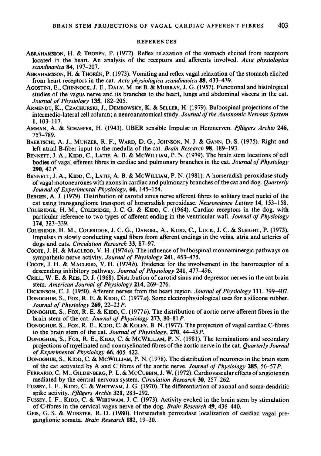#### **REFERENCES**

- ABRAHAMSSON, H. & THOREN, P. (1972). Reflex relaxation of the stomach elicited from receptors located in the heart. An analysis of the receptors and afferents involved. Acta physiologica scandinavica 84, 197-207.
- ABRAHAMSSON, H. & THORÉN, P. (1973). Vomiting and reflex vagal relaxation of the stomach elicited from heart receptors in the cat. Acta physiologica scandinavica 88, 433-439.
- AGOSTINI, E., CHINNOCK, J. E., DALY, M. DE B. & MURRAY, J. G. (1957). Functional and histological studies of the vagus nerve and its branches to the heart, lungs and abdominal viscera in the cat. Journal of Physiology 135, 182-205.
- ARMENDT, K., CZACHURSKI, J., DEMBOWSKY, K. & SELLER, H. (1979). Bulbospinal projections of the intermedio-lateral cell column; a neuroanatomical study. Journal of the Autonomic Nervous System 1, 103-117.
- AMMAN, A. & SCHAEFER, H. (1943). UBER sensible Impulse in Herznerven. Pflügers Archiv 246, 757-789.
- BAERTSCHI, A. J., MUNZER, R. F., WARD, D. G., JOHNSON, N. J. & GANN, D. S. (1975). Right and left atrial B-fiber input to the medulla of the cat. Brain Research 98, 189-193.
- BENNETT, J. A., KIDD, C., LATIF, A. B. & MCWILLIAM, P. N. (1979). The brain stem locations of cell bodies of vagal efferent fibres in cardiac and pulmonary branches in the cat. Journal of Physiology 290, 42P.
- BENNETT, J. A., KIDD, C., LATIF, A. B. & MCWILLIAM, P. N. (1981). A horseradish peroxidase study of vagal motoneurones with axons in cardiac and pulmonary branches of the cat and dog. Quarterly Journal of Experimental Physiology, 66, 145-154.
- BERGER, A. J. (1979). Distribution of carotid sinus nerve afferent fibres to solitary tract nuclei of the cat using transganglionic transport of horseradish peroxidase. Neuroscience Letters 14, 153-158.
- COLERIDGE, H. M., COLERIDGE, J. C. G. & KIDD, C. (1964). Cardiac receptors in the dog, with particular reference to two types of afferent ending in the ventricular wall. Journal of Physiology 174, 323-339.
- COLERIDGE, H. M., COLERIDGE, J. C. G., DANGEL, A., KIDD, C., LUCK, J. C. & SLEIGHT, P. (1973). Impulses in slowly conducting vagal fibers from afferent endings in the veins, atria and arteries of dogs and cats. Circulation Research 33, 87-97.
- COOTE, J. H. & MACLEOD, V. H. (1974a). The influence of bulbospinal monoaminergic pathways on sympathetic nerve activity. Journal of Physiology 241, 453-475.
- COOTE, J. H. & MACLEOD, V. H. (1974b). Evidence for the involvement in the baroreceptor of <sup>a</sup> descending inhibitory pathway. Journal of Physiology 241, 477-496.
- CRILL, W. E. & REIS, D. J. (1968). Distribution of carotid sinus and depressor nerves in the cat brain stem. American Journal of Physiology 214, 269-276.
- DICKINSON, C. J. (1950). Afferent nerves from the heart region. Journal of Physiology 111, 399-407.
- DONOGHUE, S., Fox, R. E. & KIDD, C. (1977 a). Some electrophysiological uses for <sup>a</sup> silicone rubber. Journal of Physiology  $269$ ,  $22-23$  P.
- DONOGHUE, S., Fox, R. E. & KIDD, C. (1977b). The distribution of aortic nerve afferent fibres in the brain stem of the cat. Journal of Physiology 273, 80-81 P.
- DONOGHUE, S., Fox, R. E., KIDD, C. & KOLEY, B. N. (1977). The projection of vagal cardiac C-fibres to the brain stem of the cat. Journal of Physiology, 270, 44 45 P.
- DONOGHUE, S., Fox, R. E., KIDD, C. & MCWILLIAM, P. N. (1981). The terminations and secondary projections of myelinated and nonmyelinated fibres of the aortic nerve in the cat. Quarterly Journal of Experimental Physiology 66, 405-422.
- DONOGHUE, S., KIDD, C. & MCWILLIAM, P. N. (1978). The distribution of neurones in the brain stem of the cat activated by A and C fibres of the aortic nerve. Journal of Physiology 285, 56-57 P.
- FERRARIO, C. M., GILDENBERG, P. L. & MCCUBBIN, J. W. (1972). Cardiovascular effects of angiotensin mediated by the central nervous system. Circulation Research 30, 257-262.
- FUSSEY, I. F., KIDD, C. & WHITWAM, J. G. (1970). The differentiation of axonal and soma-dendritic spike activity. Pflügers Archiv 321, 283-292.
- FUSSEY, I. F., KIDD, C. & WHITWAM, J. C. (1973). Activity evoked in the brain stem by stimulation of C-fibres in the cervical vagus nerve of the dog. Brain Research 49, 436-440.
- GEIS, G. S. & WURSTER, R. D. (1980). Horseradish peroxidase localization of cardiac vagal preganglionic somata. Brain Research 182, 19-30.